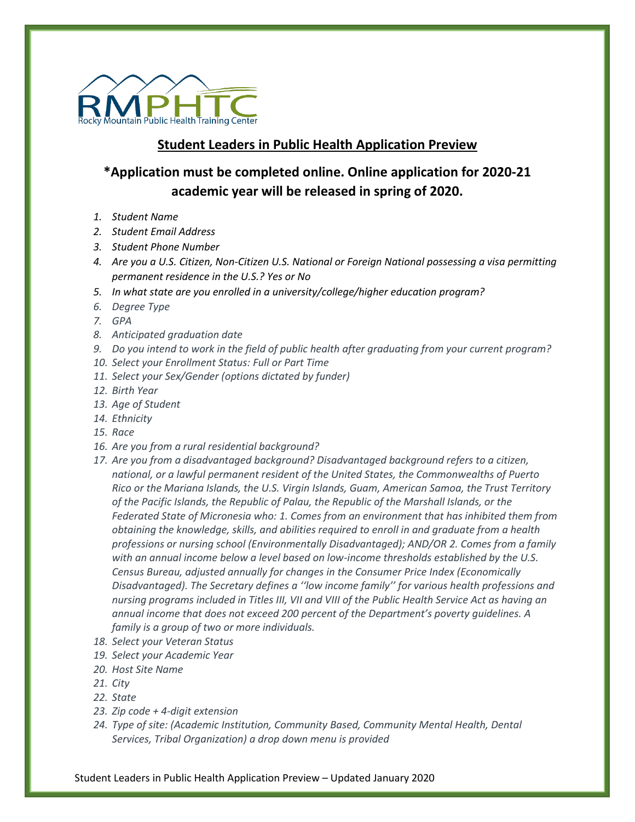

## **Student Leaders in Public Health Application Preview**

## **\*Application must be completed online. Online application for 2020-21 academic year will be released in spring of 2020.**

- *1. Student Name*
- *2. Student Email Address*
- *3. Student Phone Number*
- *4. Are you a U.S. Citizen, Non-Citizen U.S. National or Foreign National possessing a visa permitting permanent residence in the U.S.? Yes or No*
- *5. In what state are you enrolled in a university/college/higher education program?*
- *6. Degree Type*
- *7. GPA*
- *8. Anticipated graduation date*
- *9. Do you intend to work in the field of public health after graduating from your current program?*
- *10. Select your Enrollment Status: Full or Part Time*
- *11. Select your Sex/Gender (options dictated by funder)*
- *12. Birth Year*
- *13. Age of Student*
- *14. Ethnicity*
- *15. Race*
- *16. Are you from a rural residential background?*
- *17. Are you from a disadvantaged background? Disadvantaged background refers to a citizen, national, or a lawful permanent resident of the United States, the Commonwealths of Puerto Rico or the Mariana Islands, the U.S. Virgin Islands, Guam, American Samoa, the Trust Territory of the Pacific Islands, the Republic of Palau, the Republic of the Marshall Islands, or the Federated State of Micronesia who: 1. Comes from an environment that has inhibited them from obtaining the knowledge, skills, and abilities required to enroll in and graduate from a health professions or nursing school (Environmentally Disadvantaged); AND/OR 2. Comes from a family with an annual income below a level based on low-income thresholds established by the U.S. Census Bureau, adjusted annually for changes in the Consumer Price Index (Economically Disadvantaged). The Secretary defines a ''low income family'' for various health professions and nursing programs included in Titles III, VII and VIII of the Public Health Service Act as having an annual income that does not exceed 200 percent of the Department's poverty guidelines. A family is a group of two or more individuals.*
- *18. Select your Veteran Status*
- *19. Select your Academic Year*
- *20. Host Site Name*
- *21. City*
- *22. State*
- *23. Zip code + 4-digit extension*
- *24. Type of site: (Academic Institution, Community Based, Community Mental Health, Dental Services, Tribal Organization) a drop down menu is provided*

Student Leaders in Public Health Application Preview – Updated January 2020